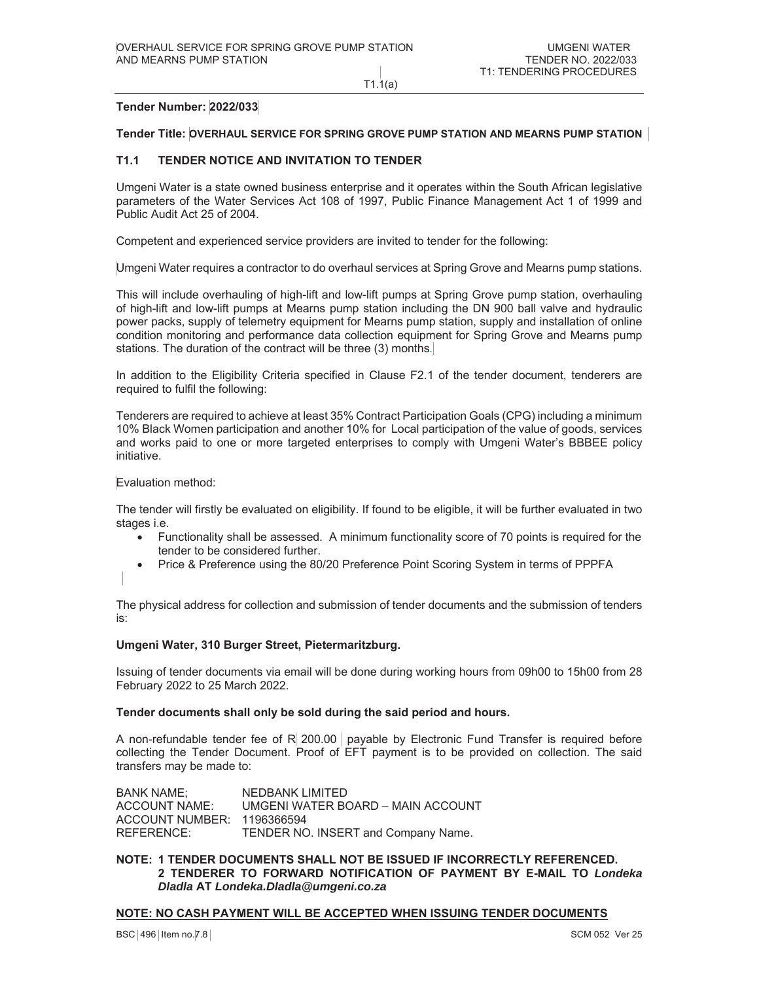$T1.1(a)$ 

## **Tender Number: 2022/033**

#### Tender Title: OVERHAUL SERVICE FOR SPRING GROVE PUMP STATION AND MEARNS PUMP STATION

#### $T1.1$ **TENDER NOTICE AND INVITATION TO TENDER**

Umgeni Water is a state owned business enterprise and it operates within the South African legislative parameters of the Water Services Act 108 of 1997, Public Finance Management Act 1 of 1999 and Public Audit Act 25 of 2004.

Competent and experienced service providers are invited to tender for the following:

Umgeni Water requires a contractor to do overhaul services at Spring Grove and Mearns pump stations.

This will include overhauling of high-lift and low-lift pumps at Spring Grove pump station, overhauling of high-lift and low-lift pumps at Mearns pump station including the DN 900 ball valve and hydraulic power packs, supply of telemetry equipment for Mearns pump station, supply and installation of online condition monitoring and performance data collection equipment for Spring Grove and Mearns pump stations. The duration of the contract will be three (3) months.

In addition to the Eligibility Criteria specified in Clause F2.1 of the tender document, tenderers are required to fulfil the following:

Tenderers are required to achieve at least 35% Contract Participation Goals (CPG) including a minimum 10% Black Women participation and another 10% for Local participation of the value of goods, services and works paid to one or more targeted enterprises to comply with Umgeni Water's BBBEE policy initiative.

Evaluation method:

The tender will firstly be evaluated on eligibility. If found to be eligible, it will be further evaluated in two stages i.e.

- Functionality shall be assessed. A minimum functionality score of 70 points is required for the  $\bullet$ tender to be considered further.
- Price & Preference using the 80/20 Preference Point Scoring System in terms of PPPFA

The physical address for collection and submission of tender documents and the submission of tenders is.

## Umgeni Water, 310 Burger Street, Pietermaritzburg.

Issuing of tender documents via email will be done during working hours from 09h00 to 15h00 from 28 February 2022 to 25 March 2022.

## Tender documents shall only be sold during the said period and hours.

A non-refundable tender fee of R 200.00 payable by Electronic Fund Transfer is required before collecting the Tender Document. Proof of EFT payment is to be provided on collection. The said transfers may be made to:

**BANK NAME: NEDBANK LIMITED ACCOUNT NAME:** UMGENI WATER BOARD - MAIN ACCOUNT ACCOUNT NUMBER: 1196366594 REFERENCE: TENDER NO. INSERT and Company Name.

## NOTE: 1 TENDER DOCUMENTS SHALL NOT BE ISSUED IF INCORRECTLY REFERENCED. 2 TENDERER TO FORWARD NOTIFICATION OF PAYMENT BY E-MAIL TO Londeka Dladla AT Londeka.Dladla@umgeni.co.za

## <u>NOTE: NO CASH PAYMENT WILL BE ACCEPTED WHEN ISSUING TENDER DOCUMENTS</u>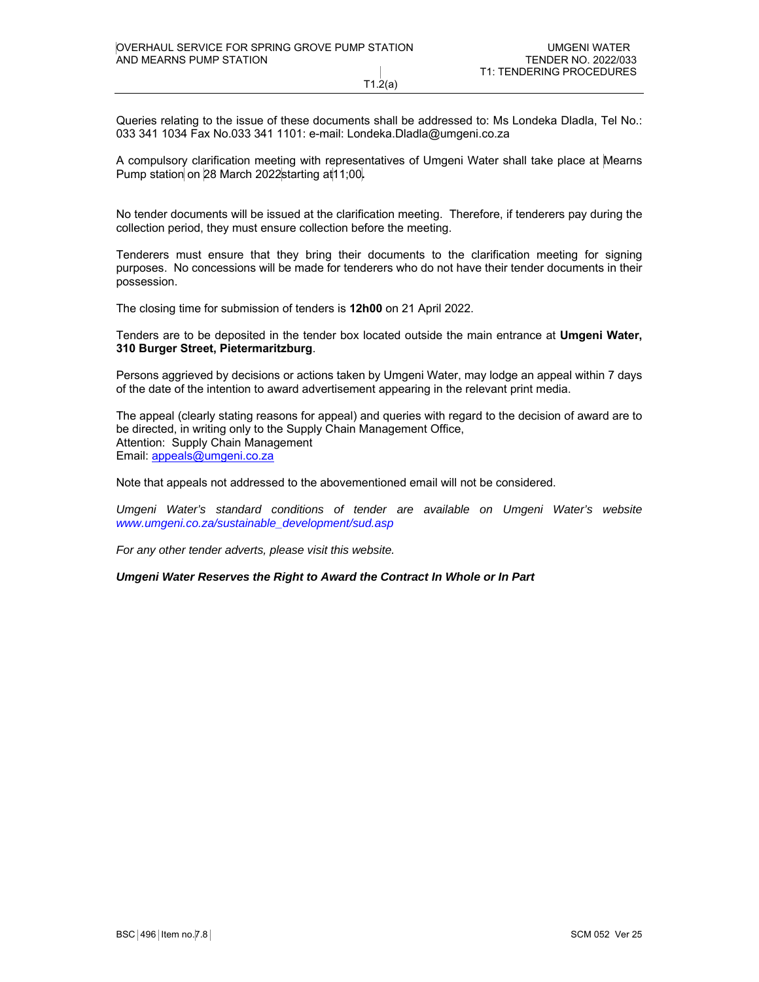T1.2(a)

Queries relating to the issue of these documents shall be addressed to: Ms Londeka Dladla, Tel No.: 033 341 1034 Fax No.033 341 1101: e-mail: Londeka.Dladla@umgeni.co.za

A compulsory clarification meeting with representatives of Umgeni Water shall take place at Mearns Pump station on 28 March 2022starting at11;00**.** 

No tender documents will be issued at the clarification meeting. Therefore, if tenderers pay during the collection period, they must ensure collection before the meeting.

Tenderers must ensure that they bring their documents to the clarification meeting for signing purposes. No concessions will be made for tenderers who do not have their tender documents in their possession.

The closing time for submission of tenders is **12h00** on 21 April 2022.

Tenders are to be deposited in the tender box located outside the main entrance at **Umgeni Water, 310 Burger Street, Pietermaritzburg**.

Persons aggrieved by decisions or actions taken by Umgeni Water, may lodge an appeal within 7 days of the date of the intention to award advertisement appearing in the relevant print media.

The appeal (clearly stating reasons for appeal) and queries with regard to the decision of award are to be directed, in writing only to the Supply Chain Management Office, Attention: Supply Chain Management Email: appeals@umgeni.co.za

Note that appeals not addressed to the abovementioned email will not be considered.

Umgeni Water's standard conditions of tender are available on Umgeni Water's website *www.umgeni.co.za/sustainable\_development/sud.asp* 

*For any other tender adverts, please visit this website.* 

*Umgeni Water Reserves the Right to Award the Contract In Whole or In Part*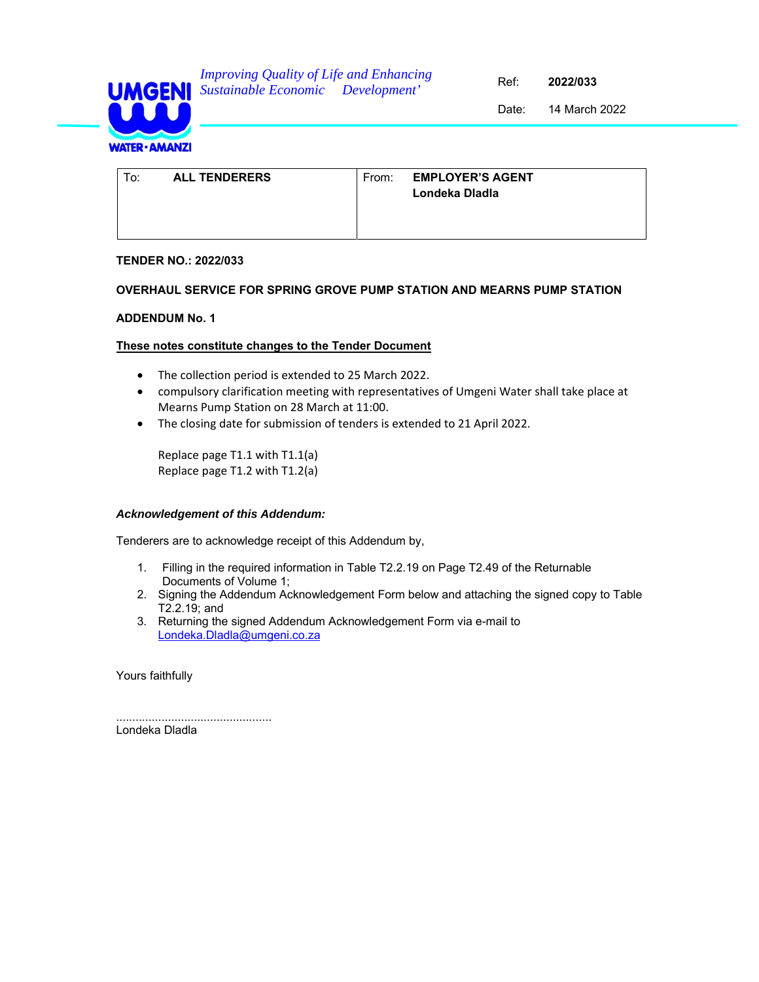

14 March 2022 Date:

| To: | <b>ALL TENDERERS</b> | From: <b>EMPLOYER'S AGENT</b><br>Londeka Diadia |  |
|-----|----------------------|-------------------------------------------------|--|
|-----|----------------------|-------------------------------------------------|--|

## **TENDER NO.: 2022/033**

## **OVERHAUL SERVICE FOR SPRING GROVE PUMP STATION AND MEARNS PUMP STATION**

## **ADDENDUM No. 1**

## **These notes constitute changes to the Tender Document**

- The collection period is extended to 25 March 2022.
- compulsory clarification meeting with representatives of Umgeni Water shall take place at Mearns Pump Station on 28 March at 11:00.
- The closing date for submission of tenders is extended to 21 April 2022.

Replace page T1.1 with T1.1(a) Replace page T1.2 with T1.2(a)

## *Acknowledgement of this Addendum:*

Tenderers are to acknowledge receipt of this Addendum by,

- 1. Filling in the required information in Table T2.2.19 on Page T2.49 of the Returnable Documents of Volume 1;
- 2. Signing the Addendum Acknowledgement Form below and attaching the signed copy to Table T2.2.19; and
- 3. Returning the signed Addendum Acknowledgement Form via e-mail to Londeka.Dladla@umgeni.co.za

Yours faithfully

................................................ Londeka Dladla